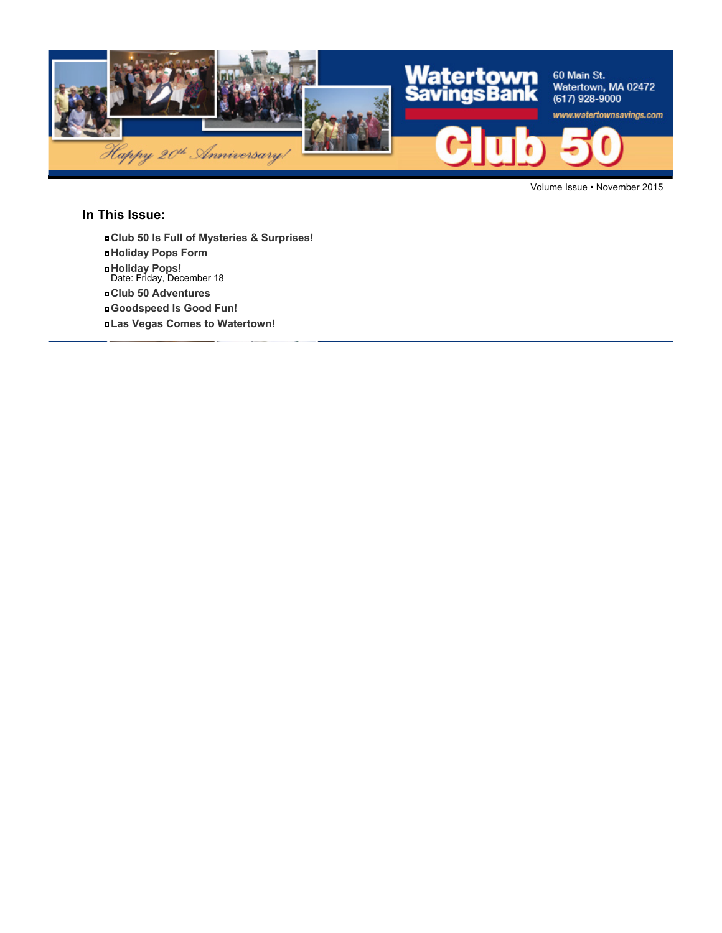

Volume Issue • November 2015

### **In This Issue:**

- **Club 50 Is Full of Mysteries & Surprises!**
- **Holiday Pops Form**
- **Holiday Pops!** Date: Friday, December 18
- **Club 50 Adventures**
- **Goodspeed Is Good Fun!**
- **Las Vegas Comes to Watertown!**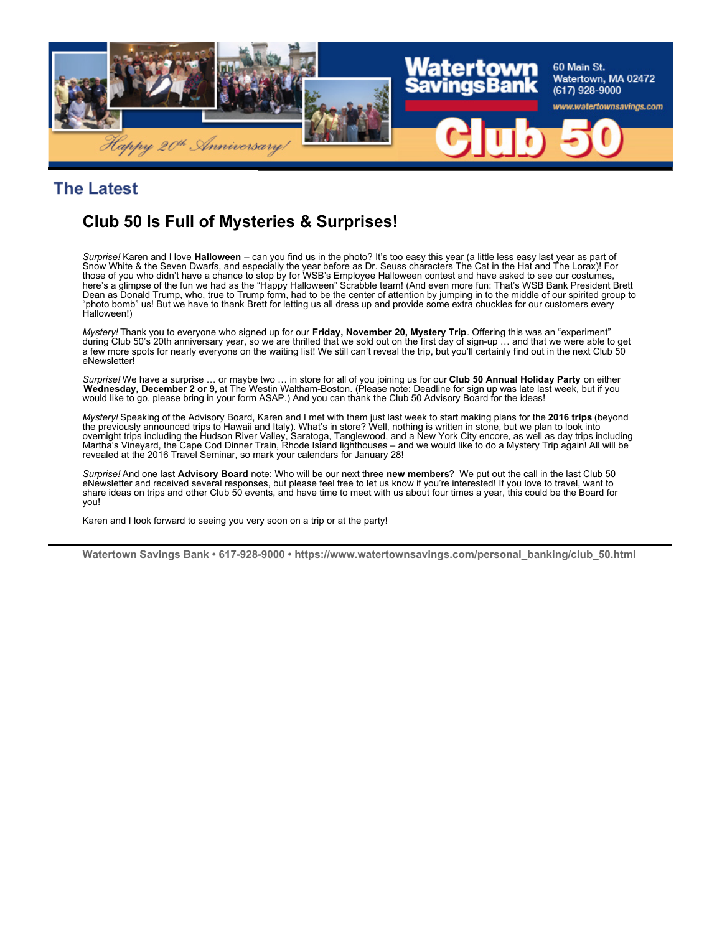

### **The Latest**

# **Club 50 Is Full of Mysteries & Surprises!**

*Surprise!* Karen and I love **Halloween** – can you find us in the photo? It's too easy this year (a little less easy last year as part of Snow White & the Seven Dwarfs, and especially the year before as Dr. Seuss characters The Cat in the Hat and The Lorax)! For those of you who didn't have a chance to stop by for WSB's Employee Halloween contest and have asked to see our costumes, here's a glimpse of the fun we had as the "Happy Halloween" Scrabble team! (And even more fun: That's WSB Bank President Brett Dean as Donald Trump, who, true to Trump form, had to be the center of attention by jumping in to the middle of our spirited group to "photo bomb" us! But we have to thank Brett for letting us all dress up and provide some extra chuckles for our customers every Halloween!)

*Mystery!* Thank you to everyone who signed up for our **Friday, November 20, Mystery Trip**. Offering this was an "experiment" during Club 50's 20th anniversary year, so we are thrilled that we sold out on the first day of sign-up … and that we were able to get a few more spots for nearly everyone on the waiting list! We still can't reveal the trip, but you'll certainly find out in the next Club 50 eNewsletter!

*Surprise!* We have a surprise … or maybe two … in store for all of you joining us for our **Club 50 Annual Holiday Party** on either **Wednesday, December 2 or 9,** at The Westin Waltham-Boston. (Please note: Deadline for sign up was late last week, but if you would like to go, please bring in your form ASAP.) And you can thank the Club 50 Advisory Board for the ideas!

*Mystery!* Speaking of the Advisory Board, Karen and I met with them just last week to start making plans for the **2016 trips** (beyond the previously announced trips to Hawaii and Italy). What's in store? Well, nothing is written in stone, but we plan to look into overnight trips including the Hudson River Valley, Saratoga, Tanglewood, and a New York City encore, as well as day trips including Martha's Vineyard, the Cape Cod Dinner Train, Rhode Island lighthouses – and we would like to do a Mystery Trip again! All will be revealed at the 2016 Travel Seminar, so mark your calendars for January 28!

*Surprise!* And one last **Advisory Board** note: Who will be our next three **new members**? We put out the call in the last Club 50 eNewsletter and received several responses, but please feel free to let us know if you're interested! If you love to travel, want to share ideas on trips and other Club 50 events, and have time to meet with us about four times a year, this could be the Board for you!

Karen and I look forward to seeing you very soon on a trip or at the party!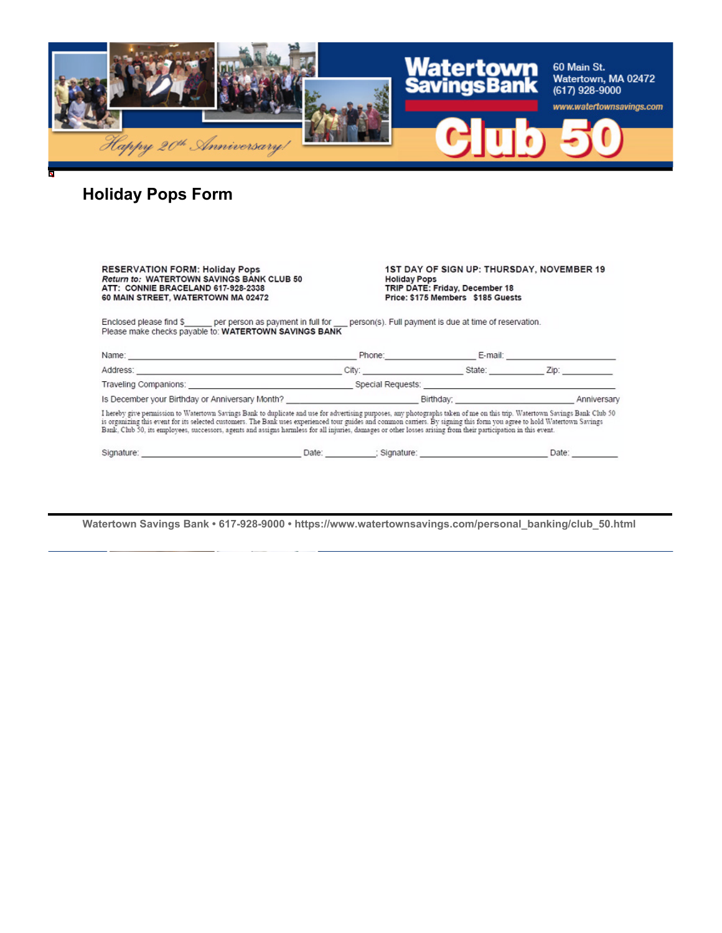

# **Holiday Pops Form**

| <b>RESERVATION FORM: Holiday Pops</b><br><b>Return to: WATERTOWN SAVINGS BANK CLUB 50</b><br>ATT: CONNIE BRACELAND 617-928-2338<br>60 MAIN STREET, WATERTOWN MA 02472                                                                                                                                                                                                                                                                                                                                                     |                                                               | 1ST DAY OF SIGN UP: THURSDAY, NOVEMBER 19<br><b>Holiday Pops</b><br>TRIP DATE: Friday, December 18<br>Price: \$175 Members \$185 Guests |       |
|---------------------------------------------------------------------------------------------------------------------------------------------------------------------------------------------------------------------------------------------------------------------------------------------------------------------------------------------------------------------------------------------------------------------------------------------------------------------------------------------------------------------------|---------------------------------------------------------------|-----------------------------------------------------------------------------------------------------------------------------------------|-------|
| Enclosed please find \$ per person as payment in full for person(s). Full payment is due at time of reservation.<br>Please make checks payable to: WATERTOWN SAVINGS BANK                                                                                                                                                                                                                                                                                                                                                 |                                                               |                                                                                                                                         |       |
|                                                                                                                                                                                                                                                                                                                                                                                                                                                                                                                           |                                                               | Phone: E-mail: E-mail:                                                                                                                  |       |
|                                                                                                                                                                                                                                                                                                                                                                                                                                                                                                                           |                                                               |                                                                                                                                         |       |
|                                                                                                                                                                                                                                                                                                                                                                                                                                                                                                                           | Traveling Companions: Traveling Companions: Special Requests: |                                                                                                                                         |       |
|                                                                                                                                                                                                                                                                                                                                                                                                                                                                                                                           |                                                               |                                                                                                                                         |       |
| I hereby give permission to Watertown Savings Bank to duplicate and use for advertising purposes, any photographs taken of me on this trip. Watertown Savings Bank Club 50<br>is organizing this event for its selected customers. The Bank uses experienced tour guides and common carriers. By signing this form you agree to hold Watertown Savings<br>Bank, Club 50, its employees, successors, agents and assigns harmless for all injuries, damages or other losses arising from their participation in this event. |                                                               |                                                                                                                                         |       |
| Signature: Date: Date: Signature: Signature:                                                                                                                                                                                                                                                                                                                                                                                                                                                                              |                                                               |                                                                                                                                         | Date: |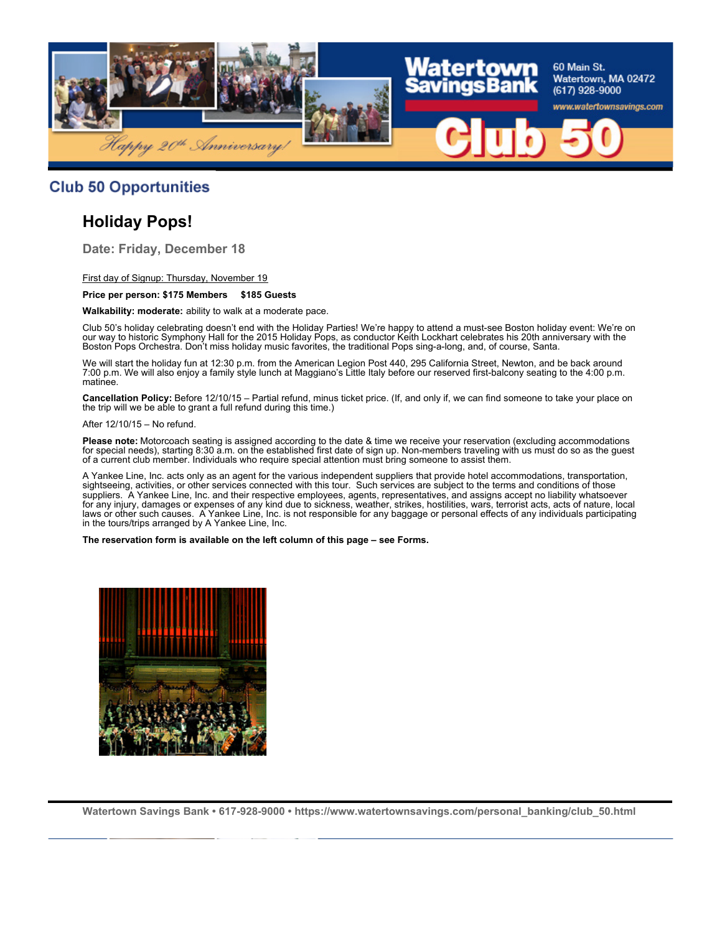

### **Club 50 Opportunities**

## **Holiday Pops!**

**Date: Friday, December 18**

First day of Signup: Thursday, November 19

#### **Price per person: \$175 Members \$185 Guests**

**Walkability: moderate:** ability to walk at a moderate pace.

Club 50's holiday celebrating doesn't end with the Holiday Parties! We're happy to attend a must-see Boston holiday event: We're on our way to historic Symphony Hall for the 2015 Holiday Pops, as conductor Keith Lockhart celebrates his 20th anniversary with the Boston Pops Orchestra. Don't miss holiday music favorites, the traditional Pops sing-a-long, and, of course, Santa.

We will start the holiday fun at 12:30 p.m. from the American Legion Post 440, 295 California Street, Newton, and be back around 7:00 p.m. We will also enjoy a family style lunch at Maggiano's Little Italy before our reserved first-balcony seating to the 4:00 p.m. matinee.

**Cancellation Policy:** Before 12/10/15 – Partial refund, minus ticket price. (If, and only if, we can find someone to take your place on the trip will we be able to grant a full refund during this time.)

After 12/10/15 – No refund.

**Please note:** Motorcoach seating is assigned according to the date & time we receive your reservation (excluding accommodations for special needs), starting 8:30 a.m. on the established first date of sign up. Non-members traveling with us must do so as the guest of a current club member. Individuals who require special attention must bring someone to assist them.

A Yankee Line, Inc. acts only as an agent for the various independent suppliers that provide hotel accommodations, transportation, sightseeing, activities, or other services connected with this tour. Such services are subject to the terms and conditions of those suppliers. A Yankee Line, Inc. and their respective employees, agents, representatives, and assigns accept no liability whatsoever for any injury, damages or expenses of any kind due to sickness, weather, strikes, hostilities, wars, terrorist acts, acts of nature, local laws or other such causes. A Yankee Line, Inc. is not responsible for any baggage or personal effects of any individuals participating in the tours/trips arranged by A Yankee Line, Inc.

**The reservation form is available on the left column of this page – see Forms.**

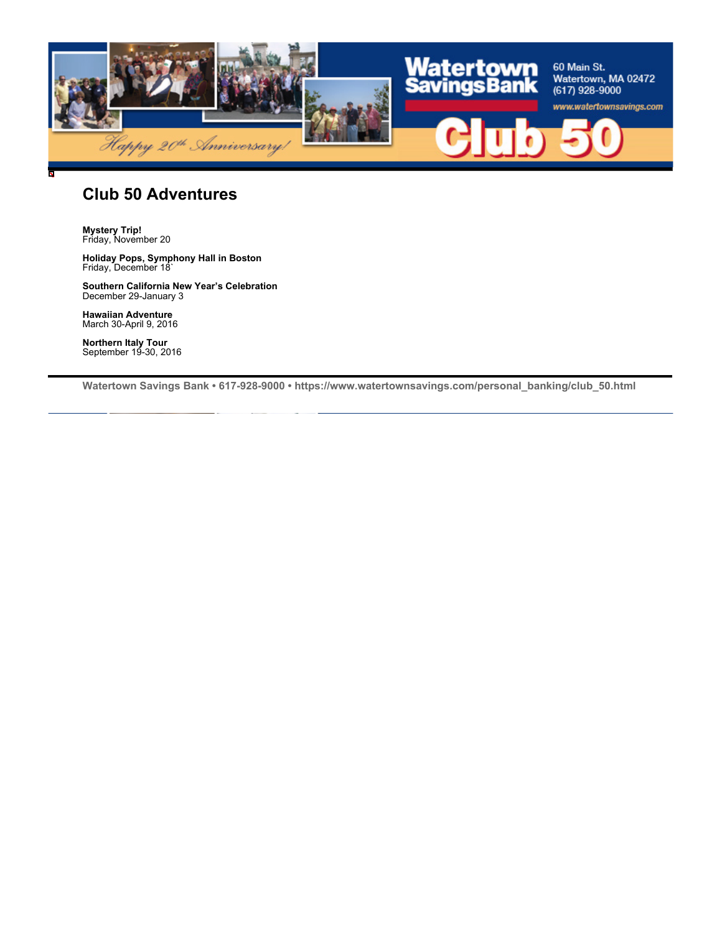

### **Club 50 Adventures**

**Mystery Trip!** Friday, November 20

**Holiday Pops, Symphony Hall in Boston** Friday, December 18`

**Southern California New Year's Celebration** December 29-January 3

**Hawaiian Adventure** March 30-April 9, 2016

**Northern Italy Tour** September 19-30, 2016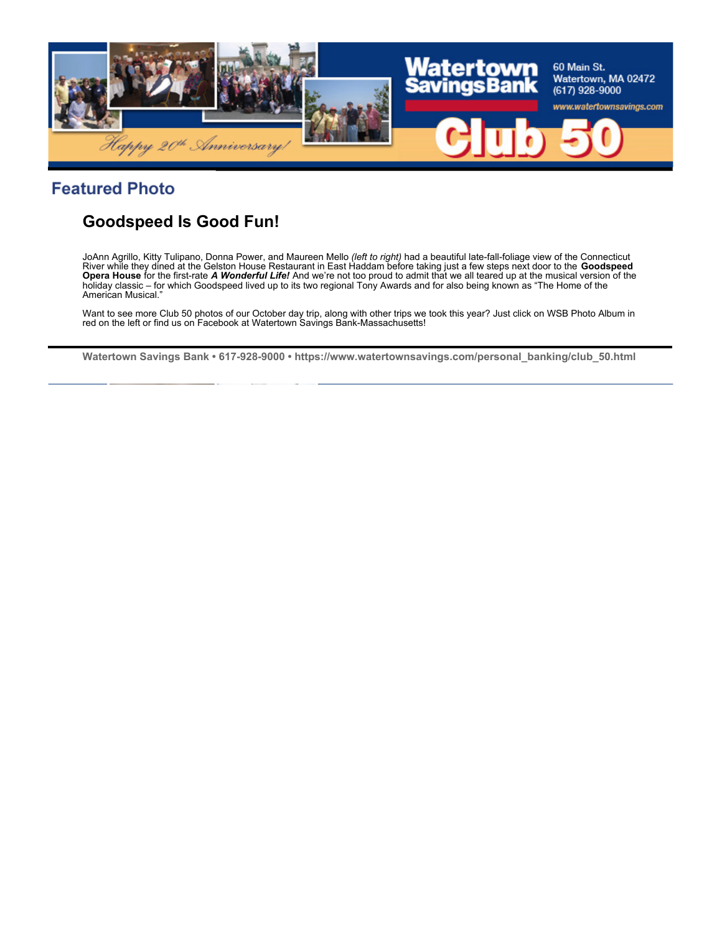

## **Featured Photo**

# **Goodspeed Is Good Fun!**

JoAnn Agrillo, Kitty Tulipano, Donna Power, and Maureen Mello *(left to right)* had a beautiful late-fall-foliage view of the Connecticut River while they dined at the Gelston House Restaurant in East Haddam before taking just a few steps next door to the **Goodspeed Opera House** for the first-rate *A Wonderful Life!* And we're not too proud to admit that we all teared up at the musical version of the holiday classic – for which Goodspeed lived up to its two regional Tony Awards and for also being known as "The Home of the American Musical."

Want to see more Club 50 photos of our October day trip, along with other trips we took this year? Just click on WSB Photo Album in red on the left or find us on Facebook at Watertown Savings Bank-Massachusetts!